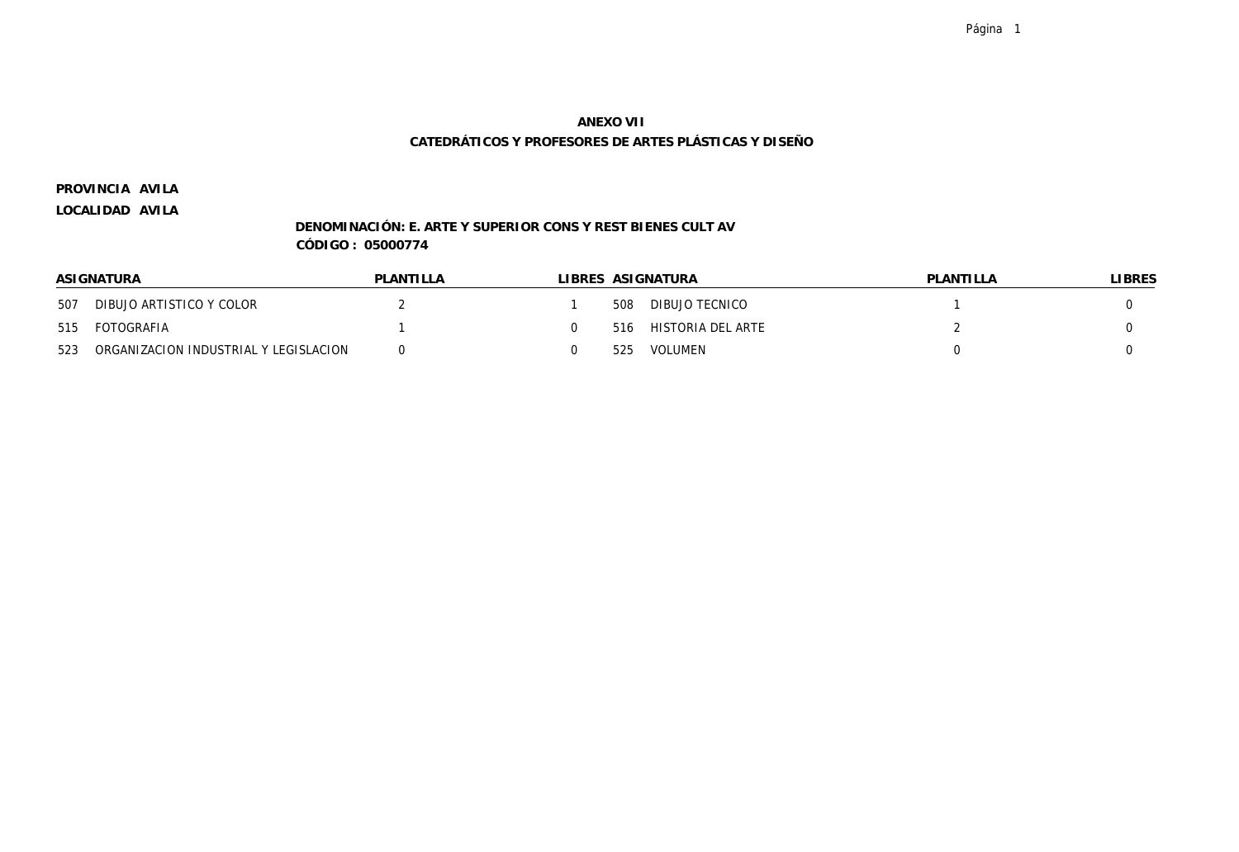**AVILA PROVINCIA**

**LOCALIDAD AVILA**

### **DENOMINACIÓN: E. ARTE Y SUPERIOR CONS Y REST BIENES CULT AV CÓDIGO : 05000774**

|     | ASIGNATURA                            | PLANTILLA |     | LIBRES ASIGNATURA | PLANTILLA | LIBRES |
|-----|---------------------------------------|-----------|-----|-------------------|-----------|--------|
| 507 | DIBUJO ARTISTICO Y COLOR              |           | 508 | DIBUJO TECNICO    |           |        |
| 515 | FOTOGRAFIA                            |           | 516 | HISTORIA DEL ARTE |           |        |
| 523 | ORGANIZACION INDUSTRIAL Y LEGISLACION |           | 525 | VOLUMEN           |           |        |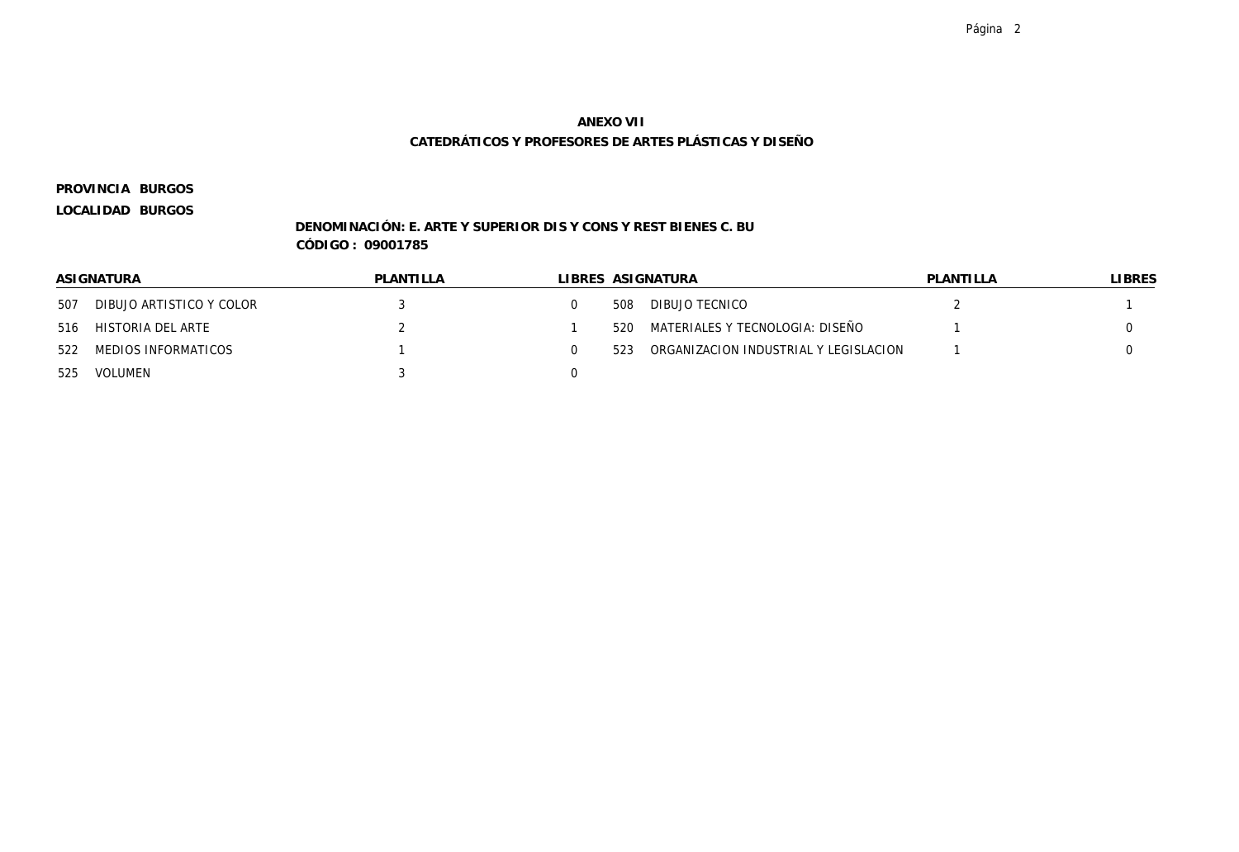**BURGOS PROVINCIA**

**LOCALIDAD BURGOS**

### **DENOMINACIÓN: E. ARTE Y SUPERIOR DIS Y CONS Y REST BIENES C. BU CÓDIGO : 09001785**

|     | ASIGNATURA               | PLANTILLA |     | LIBRES ASIGNATURA                     | PLANTILLA | LIBRES |
|-----|--------------------------|-----------|-----|---------------------------------------|-----------|--------|
| 507 | DIBUJO ARTISTICO Y COLOR |           | 508 | DIBUJO TECNICO                        |           |        |
| 516 | HISTORIA DEL ARTE        |           | 520 | MATERIALES Y TECNOLOGIA: DISEÑO       |           |        |
|     | 522 MEDIOS INFORMATICOS  |           | 523 | ORGANIZACION INDUSTRIAL Y LEGISLACION |           |        |
| 525 | VOLUMEN                  |           |     |                                       |           |        |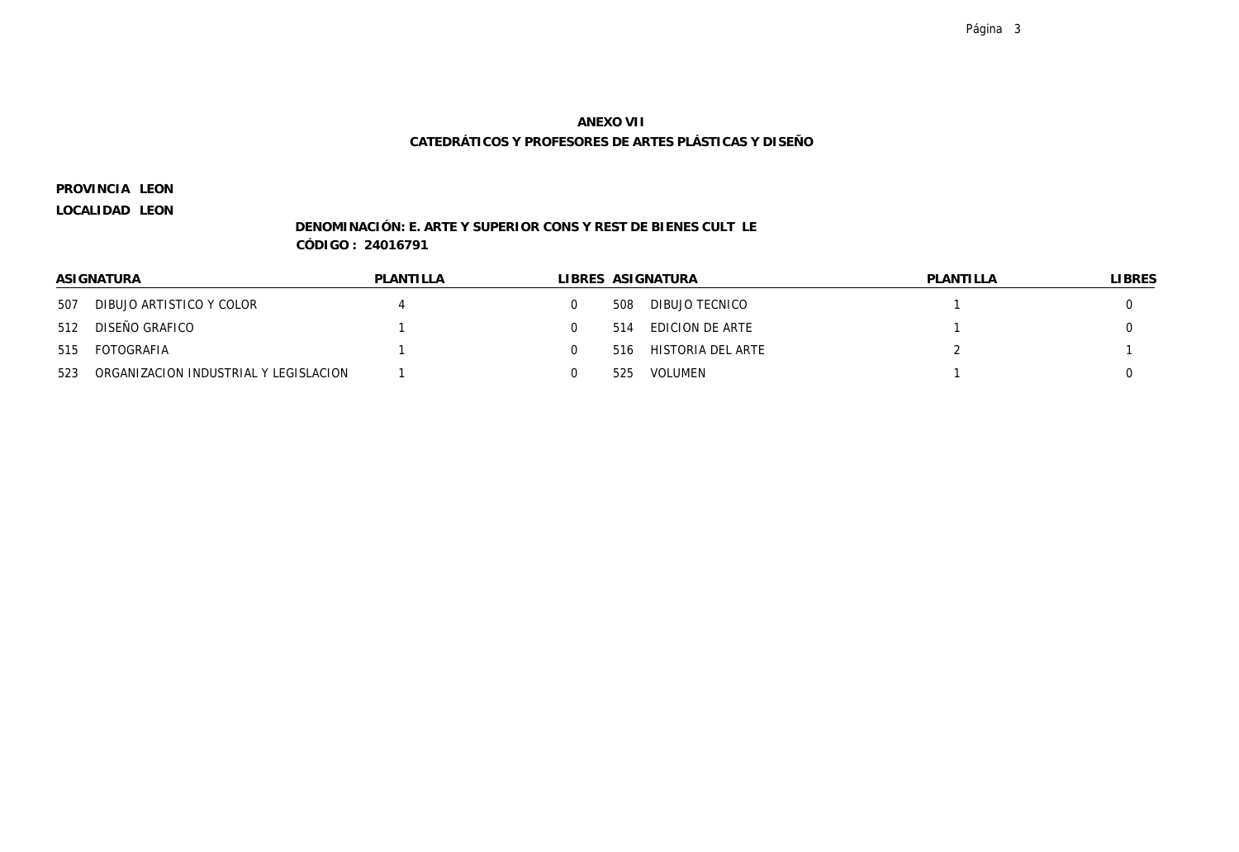**LEON PROVINCIA**

**LOCALIDAD LEON**

### **DENOMINACIÓN: E. ARTE Y SUPERIOR CONS Y REST DE BIENES CULT LE CÓDIGO : 24016791**

|     | ASIGNATURA                            | PLANTILLA |     | LIBRES ASIGNATURA | PLANTILLA | LIBRES |
|-----|---------------------------------------|-----------|-----|-------------------|-----------|--------|
| 507 | DIBUJO ARTISTICO Y COLOR              |           | 508 | DIBUJO TECNICO    |           |        |
| 512 | DISEÑO GRAFICO                        |           | 514 | EDICION DE ARTE   |           |        |
| 515 | FOTOGRAFIA                            |           | 516 | HISTORIA DEL ARTE |           |        |
| 523 | ORGANIZACION INDUSTRIAL Y LEGISLACION |           | 525 | VOLUMEN           |           |        |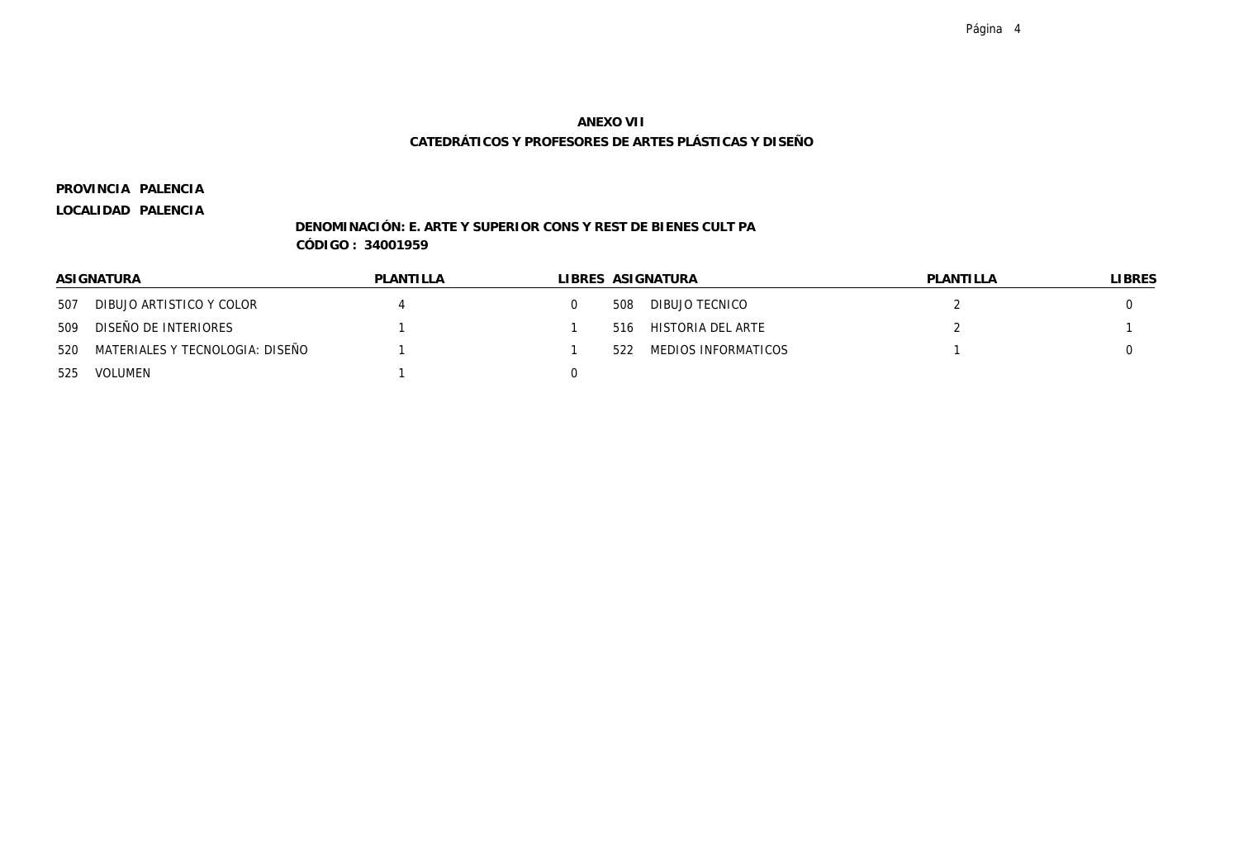**PALENCIA PROVINCIA**

### **LOCALIDAD PALENCIA**

### **DENOMINACIÓN: E. ARTE Y SUPERIOR CONS Y REST DE BIENES CULT PA CÓDIGO : 34001959**

|     | ASIGNATURA                          | PLANTILLA |     | LIBRES ASIGNATURA   | PLANTILLA | <b>LIBRES</b> |
|-----|-------------------------------------|-----------|-----|---------------------|-----------|---------------|
| 507 | DIBUJO ARTISTICO Y COLOR            |           | 508 | DIBUJO TECNICO      |           |               |
| 509 | DISEÑO DE INTERIORES                |           | 516 | HISTORIA DEL ARTE   |           |               |
|     | 520 MATERIALES Y TECNOLOGIA: DISEÑO |           | 522 | MEDIOS INFORMATICOS |           |               |
|     | 525 VOLUMEN                         |           |     |                     |           |               |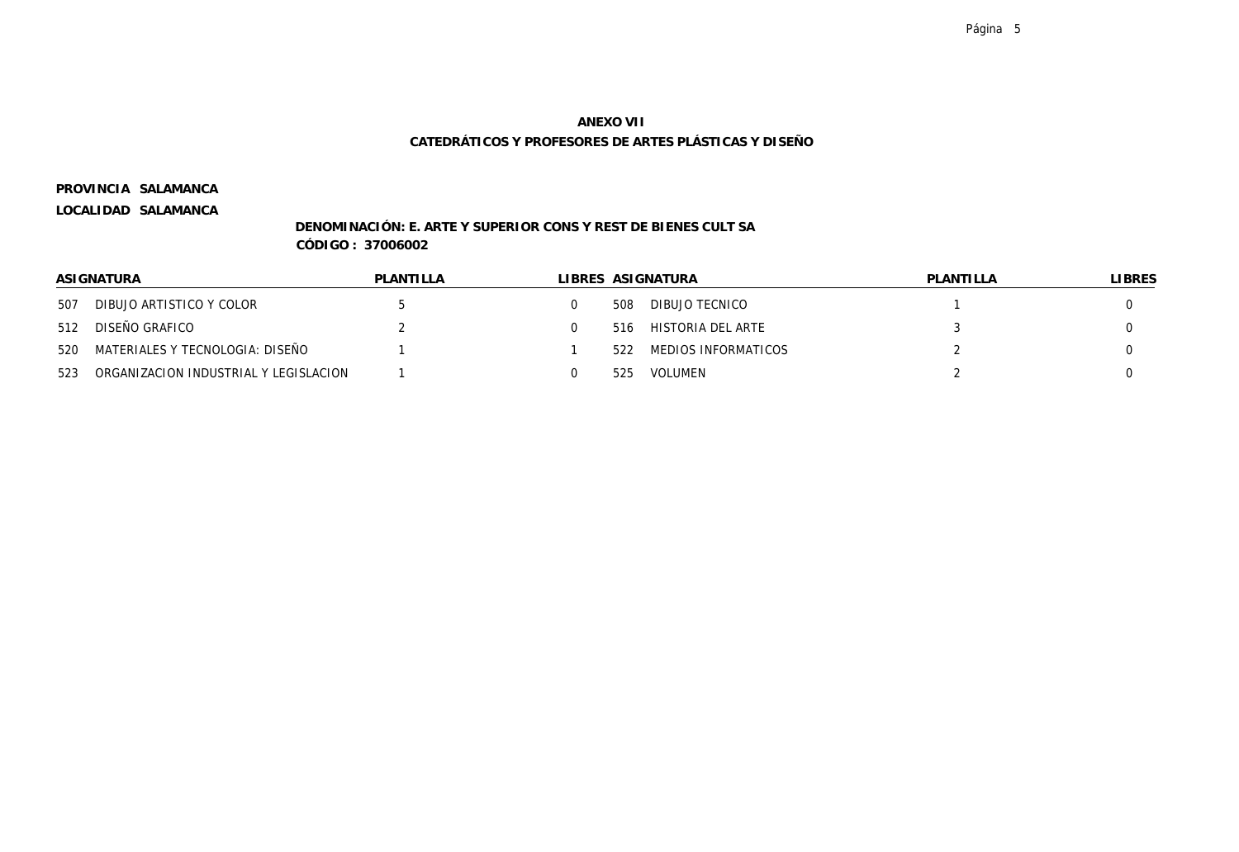**SALAMANCA PROVINCIA**

**LOCALIDAD SALAMANCA**

### **DENOMINACIÓN: E. ARTE Y SUPERIOR CONS Y REST DE BIENES CULT SA CÓDIGO : 37006002**

|     | ASI GNATURA                           | PLANTILLA |     | LIBRES ASIGNATURA   | PLANTILLA | LIBRES |
|-----|---------------------------------------|-----------|-----|---------------------|-----------|--------|
| 507 | DIBUJO ARTISTICO Y COLOR              |           | 508 | DIBUJO TECNICO      |           |        |
| 512 | DISEÑO GRAFICO                        |           | 516 | HISTORIA DEL ARTE   |           |        |
| 520 | MATERIALES Y TECNOLOGIA: DISEÑO       |           | 522 | MEDIOS INFORMATICOS |           |        |
| 523 | ORGANIZACION INDUSTRIAL Y LEGISLACION |           | 525 | VOLUMEN             |           |        |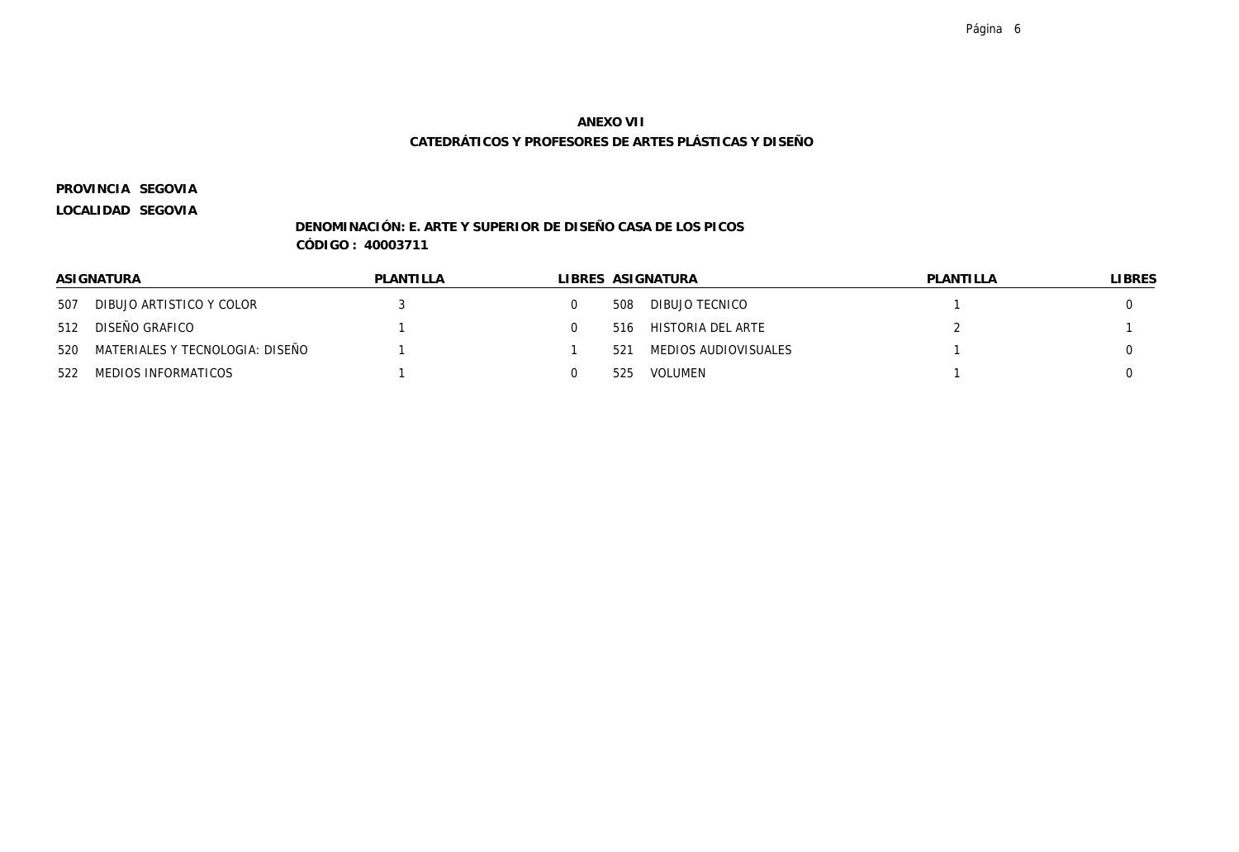**SEGOVIA PROVINCIA**

**LOCALIDAD SEGOVIA**

### **DENOMINACIÓN: E. ARTE Y SUPERIOR DE DISEÑO CASA DE LOS PICOS CÓDIGO : 40003711**

|     | ASIGNATURA                          | PLANTILLA |     | LIBRES ASIGNATURA    | PLANTILLA | LIBRES |
|-----|-------------------------------------|-----------|-----|----------------------|-----------|--------|
| 507 | DIBUJO ARTISTICO Y COLOR            |           | 508 | DIBUJO TECNICO       |           |        |
| 512 | DISEÑO GRAFICO                      |           | 516 | HISTORIA DEL ARTE    |           |        |
|     | 520 MATERIALES Y TECNOLOGIA: DISEÑO |           | 521 | MEDIOS AUDIOVISUALES |           |        |
| 522 | MEDIOS INFORMATICOS                 |           | 525 | VOLUMEN              |           |        |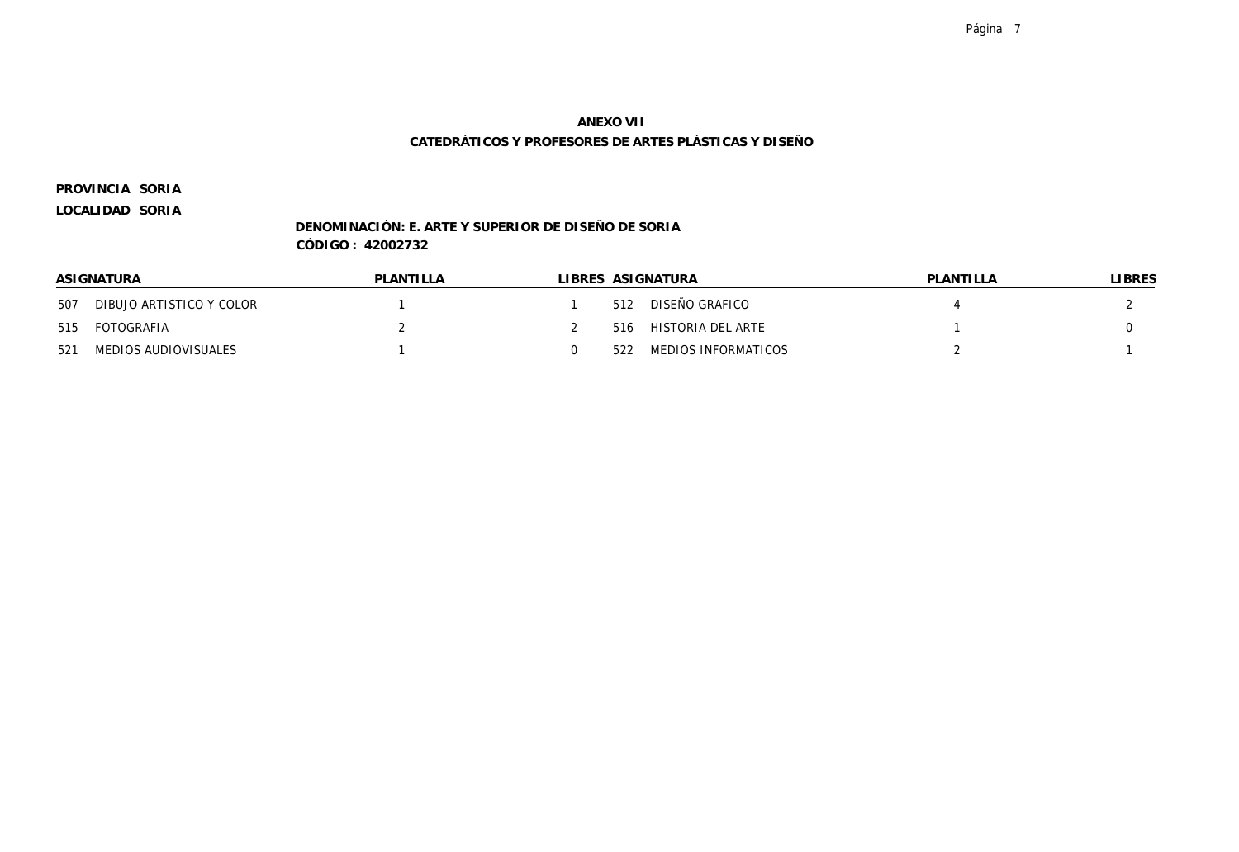#### Página 7

# **ANEXO VII CATEDRÁTICOS Y PROFESORES DE ARTES PLÁSTICAS Y DISEÑO**

**SORIA PROVINCIA**

**LOCALIDAD SORIA**

### **DENOMINACIÓN: E. ARTE Y SUPERIOR DE DISEÑO DE SORIA CÓDIGO : 42002732**

|     | ASIGNATURA<br>PLANTILLA<br>LIBRES ASIGNATURA<br>PLANTILLA |  | LIBRES |                     |  |
|-----|-----------------------------------------------------------|--|--------|---------------------|--|
| 507 | DIBUJO ARTISTICO Y COLOR                                  |  | 512    | DISEÑO GRAFICO      |  |
| 515 | FOTOGRAFIA                                                |  | 516    | HISTORIA DEL ARTE   |  |
| 521 | MEDIOS AUDIOVISUALES                                      |  | 522    | MEDIOS INFORMATICOS |  |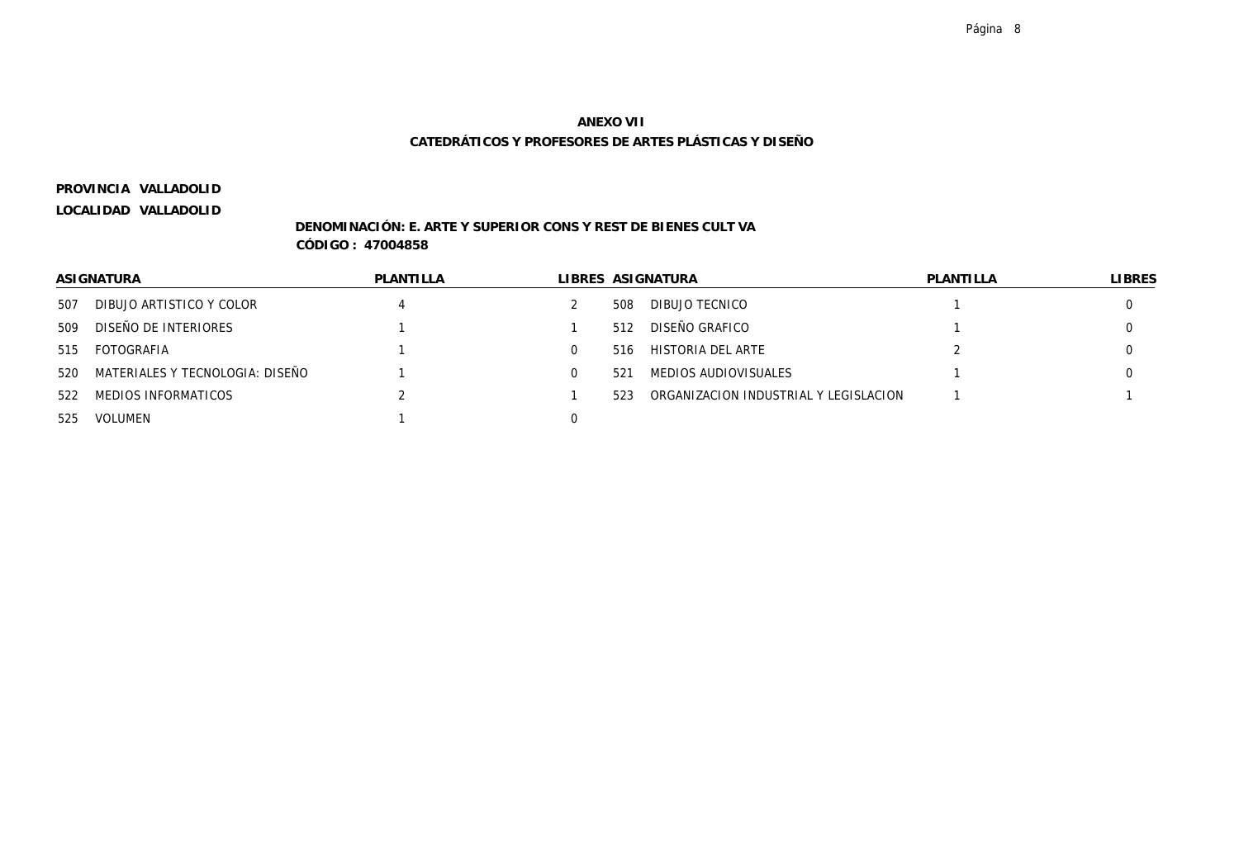**VALLADOLID PROVINCIA**

**LOCALIDAD VALLADOLID**

### **DENOMINACIÓN: E. ARTE Y SUPERIOR CONS Y REST DE BIENES CULT VA CÓDIGO : 47004858**

|     | ASIGNATURA                          | PLANTILLA |     | LIBRES ASIGNATURA                     | PLANTILLA | <b>LIBRES</b> |
|-----|-------------------------------------|-----------|-----|---------------------------------------|-----------|---------------|
| 507 | DIBUJO ARTISTICO Y COLOR            |           | 508 | DIBUJO TECNICO                        |           |               |
| 509 | DISEÑO DE INTERIORES                |           | 512 | DISEÑO GRAFICO                        |           |               |
| 515 | FOTOGRAFIA                          |           | 516 | HISTORIA DEL ARTE                     |           |               |
|     | 520 MATERIALES Y TECNOLOGIA: DISEÑO |           | 521 | MEDIOS AUDIOVISUALES                  |           |               |
| 522 | MEDIOS INFORMATICOS                 |           | 523 | ORGANIZACION INDUSTRIAL Y LEGISLACION |           |               |
| 525 | VOLUMEN                             |           |     |                                       |           |               |